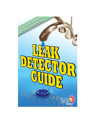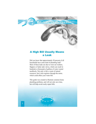## A High Bill Usually Means a Leak

Did you know that approximately 50 percent of all households have some kind of plumbing leak? Most of these leaks are due to worn out washers, flappers or faulty tank valves, which can result in hundreds or thousands of gallons of water wasted needlessly. Not only is this a waste of natural resources, but it also registers through the meter, which could affect your water bill.

This guide was created to illustrate common home plumbing problems, and will not only save time, but will help avoid costly repair bills.

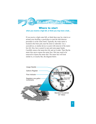

## Where to start

**when you receive a high bill, or think you may have a leak...**

If you receive a high water bill, or think there may be a leak in or around your dwelling, a good place to start the leak detector procedure is at the water meter. Typically, the water meter is located in the front yard, near the street or sidewalk. Use a screwdriver, or similar device to assist with removal of the meterbox lid. Also, have a pencil or pen and some paper handy. Carefully remove the meter-box lid, and set it aside. Then flip the meter lens cap to expose the meter face. Dirt may need to be removed to expose the meter dial. The meter face will look similar to, or exactly like, the diagram below.

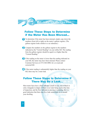## Follow These Steps to Determine if the Meter Has Been Misread…

- 1. To determine if the meter has been misread, simply copy down the numbers (from left to right) on the meter's gallons register. (The gallons register looks similar to a car odometer.)
- 2. Compare the numbers on the gallons register to the numbers **2** indicated as the "Current Reading" on your utility bill. The reading from the gallons register should be equal to or higher than the "Current Reading."
- 3. If the reading on the meter is lower than the reading indicated on **3** your bill, the meter may have been misread. Please contact Customer Services at (727) 464-4000, for a re-read and corrected bill.
- 4. If the meter reading is substantially higher than the reading on your **4**bill, there may be a water leak.

## Follow These Steps to Determine if There May Be a Leak…

Most meter faces have a flow indicator (small in size, red or black in color, triangular in shape). If there is no water being used at the time of inspection, and the flow indicator is moving or spinning, this is a good indication that there may be a leak somewhere in or around your dwelling.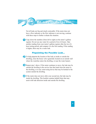Not all leaks are big and clearly noticeable. If the meter does not have a flow indicator or the flow indicator is not moving, continue with these steps to further evaluate the situation.

**Be a Leak Detector** 

**1** Copy down the numbers (from left to right) on the meter's gallons register. Do not use any water for a period of two (2) hours. Take another reading from your meter's gallons register after the two (2) hour testing period, and compare it to the first reading. If the reading is higher, there may be a water leak.

### Pinpointing the Possible Leak…

- 1. To help pinpoint the location of the leak as inside or outside the **2** dwelling, close the house valve (generally located on an outside wall where the waterline enters the dwelling, or near the water heater).
- 2. Repeat step 1 above. If the meter continues to move, the leak may be **3** outside the dwelling in the service line that leads from the meter to the dwelling, or in any water-using device that may be hooked to the system outside the dwelling.
- 3. If the meter does not move after your second test, the leak may be **4**inside the dwelling. This booklet contains helpful hints that may assist with leak detection inside and outside the dwelling.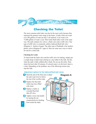# Checking the Toilet

**Be a Leak Detector** 

The most common toilet leaks can also be the most costly because they represent the greatest water usage in the home. A leaky toilet can waste over 200 gallons of water per day! Left unfixed, it can waste over 73,000 gallons of water a year. Most toilet flush tanks work in the same way. The tank contains two valves: a flush valve and a refill valve. One type of refill valve is commonly called a ballcock/flush ball valve (Diagram A - bottom of page). The other type of flushtank is the modern plastic valves (Diagram B - page 6). Here are some easy ways to check for and fix a toilet leak.

#### **Checking for Leaks**

To check both the flush valve and the refill valve for leaking, simply put a couple drops of dark food coloring or a dye tablet in the tank. Do this when the tank is fully refilled after a flush. Do not use the toilet. Then check the bowl after 20 minutes. If colored water is in the bowl, there is a leak. Depending on the problem, one of the following actions may stop the leak:

#### **Adjustment options for the ballcock/flush-ball valves**

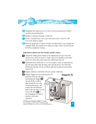5. Straighten the control arm so it is free to move up and down without **5** touching surrounding parts.

**Be a Leak Detector** 

- 6. Replace a sticking rod guide or ball rod. **6**
- 7. Clean a corroded brass valve seat with steel wool or with No. 500 **7** wet-or-dry abrasive paper.
- 8. Raise the guide arm if it does not allow the flush ball to rise enough for a **8** complete flush. Be careful not to adjust too high, which will prevent the ball from completely closing.

#### **Adjustment options for the modern plastic valves**

1. Adjust the sliding pinch clamp on the adjustment rod up to raise the **1** water level or down to lower it. Tank water level should be just below top of over flow tube when toilet has refilled and shut off.

2. Reposition bowl refill tube. If it is out of place, water is routed directly **2** into the tank rather than flowing water into the bowl. The refill tube should aim directly into the overflow pipe but should not reach below water level.

**1**

**5**

**4**

**6**



3. Replace defective refill tube with new plastic refill tube. **3**

4. Replace flapper by disconnecting the lift **4**

**Diagram B**

**2**

**3**

hardware from the trip arm and sliding the flapper **5** up and off the overflow pipe. Install the new unit, reversing directions, and connect the lift hardware back to the trip arm. Cut off excess lift chain or leave dangling if it doesn't interfere with toilet operation.

#### *Checking and changing a flapper is a snap.*

For everything you need to know, including which replacement flapper you need, go to www.toiletflapper.org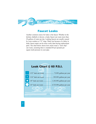

# Faucet Leaks

Another common source for leaks is the faucet. Whether in the kitchen, bathtub or shower, a leaky faucet can waste more than 20 gallons of water per day. Leaking faucets are usually caused by worn washers or "O" rings. Water lost because of a delay in leaky faucet repair can be more costly than buying replacement parts. The chart below shows how much water a "slow drip" can waste, assuming there is standard 60 psi (pounds per square inch) pressure in your pipe.

## Leak Chart @ 60 P.S.I.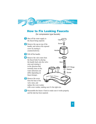# How to Fix Leaking Faucets

(for compression type faucets)



6. Reassemble the faucet. Check to make sure it works properly **6**and the leak has been repaired.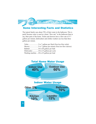# Some Interesting Facts and Statistics

The typical family uses about 70% of their water in the bathroom. This is partly because water is used at a faster "flow rate" in the bathroom than in any other parts of the home. Toilets and showers have a flow rate of 5-7 gallons per minute; dishwashers and clothes washers use less than three gallons per minute.

|                                           | Bathtub 36 to 60 gallons per bath |  |  |
|-------------------------------------------|-----------------------------------|--|--|
|                                           |                                   |  |  |
| Washing machine 20 to 45 gallons per load |                                   |  |  |

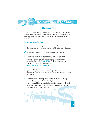

## **Outdoors**

Check the outside taps for leaking water, particularly during the peak summer watering season. A hose hidden in the grass, accidentally left dripping, can waste thousands of gallons of water over the course of a summer.

#### *Outdoor Conservation Tips:*

 $\vee$  Water only when your grass shows signs of stress, wilting or discoloration, or when footprints are visible after you walk on it.



 $\blacktriangleright$  Add a rain sensor device to your lawn sprinkler system.

- $\vee$  Water only in the morning or evening when evaporation levels are lowest and only on authorized days and during authorized hours: Call **464-4000** to find out your watering schedule or log on to our website at *www.pinellascounty.org/utilities*
- $\vee$  Use sprinkler heads that distribute big drops of water close to the ground. Smaller drops and mist often evaporate before hitting the ground.
- $\triangleright$  Consider Florida-friendly landscaping which is the planting of native, drought-tolerant, climate adapted plants in your yard. Newly planted Florida-friendly landscaping requires 30 days of irrigation to establish its root system. After this time, natural rainfall is the only water needed!